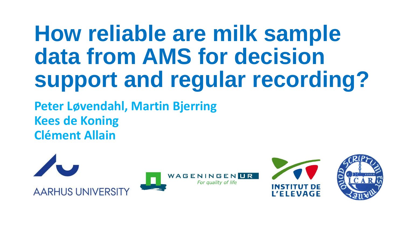### **How reliable are milk sample data from AMS for decision support and regular recording?**

**Peter Løvendahl, Martin Bjerring Kees de Koning Clément Allain**

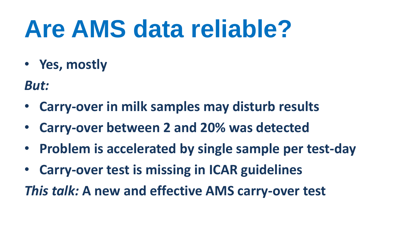# **Are AMS data reliable?**

• **Yes, mostly**

*But:*

- **Carry-over in milk samples may disturb results**
- **Carry-over between 2 and 20% was detected**
- **Problem is accelerated by single sample per test-day**
- **Carry-over test is missing in ICAR guidelines**

*This talk:* **A new and effective AMS carry-over test**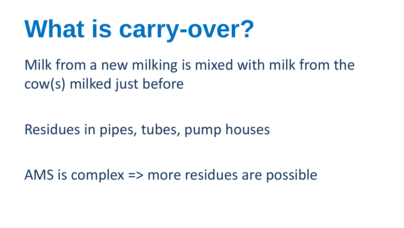# **What is carry-over?**

Milk from a new milking is mixed with milk from the cow(s) milked just before

Residues in pipes, tubes, pump houses

AMS is complex => more residues are possible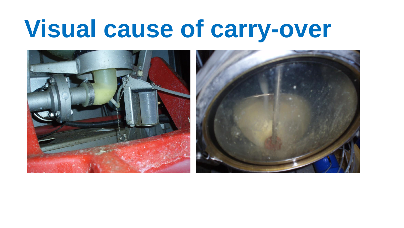### **Visual cause of carry-over**

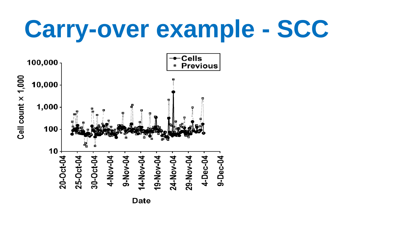# **Carry-over example - SCC**

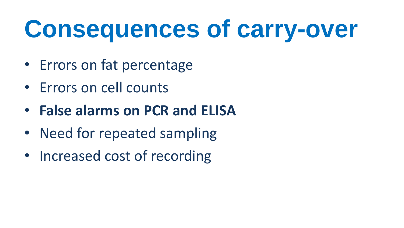# **Consequences of carry-over**

- Errors on fat percentage
- Errors on cell counts
- **False alarms on PCR and ELISA**
- Need for repeated sampling
- Increased cost of recording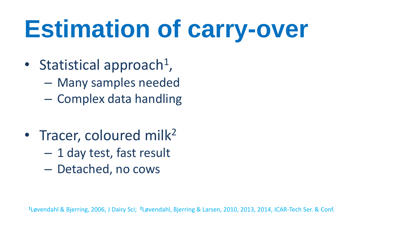# **Estimation of carry-over**

- Statistical approach<sup>1</sup>,
	- Many samples needed
	- Complex data handling
- Tracer, coloured milk<sup>2</sup>
	- 1 day test, fast result
	- Detached, no cows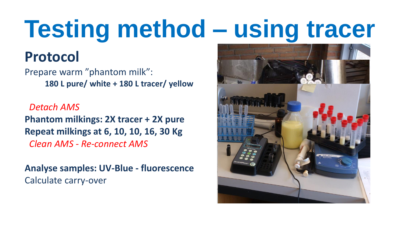# **Testing method – using tracer**

#### **Protocol**

Prepare warm "phantom milk": **180 L pure/ white + 180 L tracer/ yellow**

 *Detach AMS* **Phantom milkings: 2X tracer + 2X pure Repeat milkings at 6, 10, 10, 16, 30 Kg**  *Clean AMS - Re-connect AMS*

**Analyse samples: UV-Blue - fluorescence** Calculate carry-over

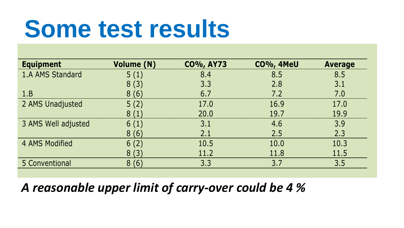## **Some test results**

| <b>Equipment</b>    | <b>Volume (N)</b> | <b>CO%, AY73</b> | <b>CO%, 4MeU</b> | <b>Average</b> |
|---------------------|-------------------|------------------|------------------|----------------|
| 1.A AMS Standard    | 5(1)              | 8.4              | 8.5              | 8.5            |
|                     | 8(3)              | 3.3              | 2.8              | 3.1            |
| 1.B                 | 8(6)              | 6.7              | 7.2              | 7.0            |
| 2 AMS Unadjusted    | 5(2)              | 17.0             | 16.9             | 17.0           |
|                     | 8(1)              | 20.0             | 19.7             | 19.9           |
| 3 AMS Well adjusted | 6(1)              | 3.1              | 4.6              | 3.9            |
|                     | 8(6)              | 2.1              | 2.5              | 2.3            |
| 4 AMS Modified      | 6(2)              | 10.5             | 10.0             | 10.3           |
|                     | 8(3)              | 11.2             | 11.8             | 11.5           |
| 5 Conventional      | 8(6)              | 3.3              | 3.7              | 3.5            |

#### *A reasonable upper limit of carry-over could be 4 %*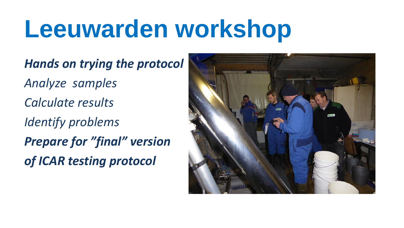## **Leeuwarden workshop**

*Hands on trying the protocol Analyze samples Calculate results Identify problems Prepare for "final" version of ICAR testing protocol*

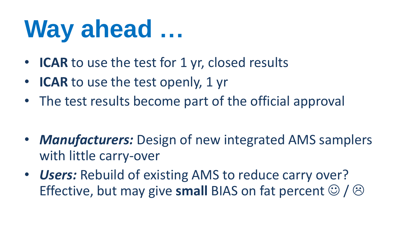# **Way ahead …**

- **ICAR** to use the test for 1 yr, closed results
- **ICAR** to use the test openly, 1 yr
- The test results become part of the official approval

- *Manufacturers:* Design of new integrated AMS samplers with little carry-over
- *Users:* Rebuild of existing AMS to reduce carry over? Effective, but may give small BIAS on fat percent  $\mathcal{O}/\mathcal{O}$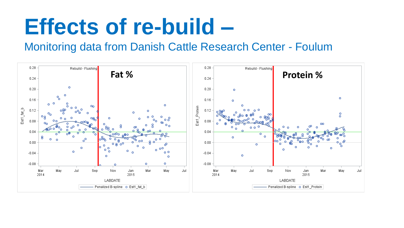### **Effects of re-build –**

#### Monitoring data from Danish Cattle Research Center - Foulum

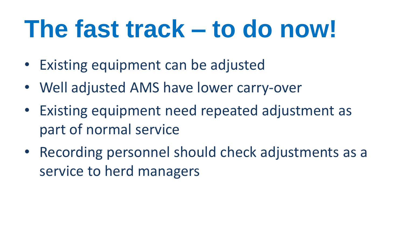# **The fast track – to do now!**

- Existing equipment can be adjusted
- Well adjusted AMS have lower carry-over
- Existing equipment need repeated adjustment as part of normal service
- Recording personnel should check adjustments as a service to herd managers